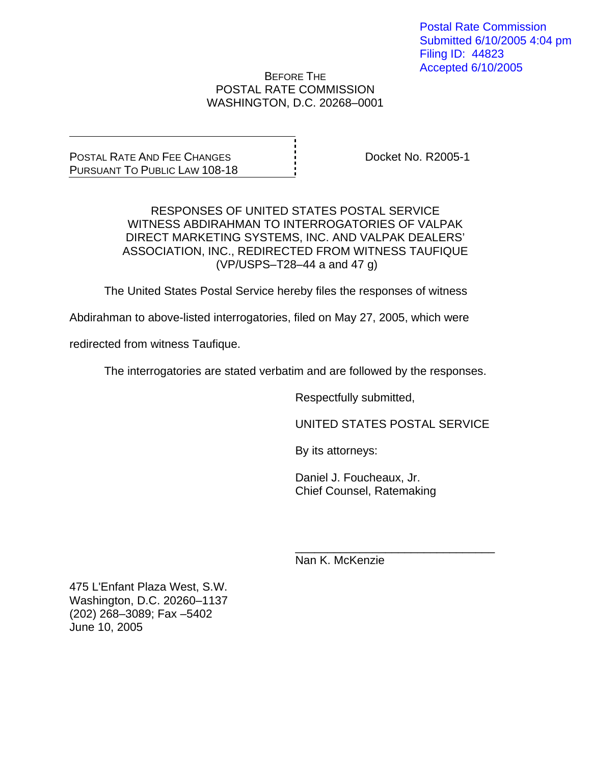Postal Rate Commission Submitted 6/10/2005 4:04 pm Filing ID: 44823 Accepted 6/10/2005

BEFORE THE POSTAL RATE COMMISSION WASHINGTON, D.C. 20268–0001

POSTAL RATE AND FEE CHANGES PURSUANT TO PUBLIC LAW 108-18 Docket No. R2005-1

RESPONSES OF UNITED STATES POSTAL SERVICE WITNESS ABDIRAHMAN TO INTERROGATORIES OF VALPAK DIRECT MARKETING SYSTEMS, INC. AND VALPAK DEALERS' ASSOCIATION, INC., REDIRECTED FROM WITNESS TAUFIQUE (VP/USPS–T28–44 a and 47 g)

The United States Postal Service hereby files the responses of witness

Abdirahman to above-listed interrogatories, filed on May 27, 2005, which were

redirected from witness Taufique.

The interrogatories are stated verbatim and are followed by the responses.

 $\frac{1}{\sqrt{1-\frac{1}{2}+\frac{1}{2}+\frac{1}{2}+\frac{1}{2}+\frac{1}{2}+\frac{1}{2}+\frac{1}{2}+\frac{1}{2}+\frac{1}{2}+\frac{1}{2}+\frac{1}{2}+\frac{1}{2}+\frac{1}{2}+\frac{1}{2}+\frac{1}{2}+\frac{1}{2}+\frac{1}{2}+\frac{1}{2}+\frac{1}{2}+\frac{1}{2}+\frac{1}{2}+\frac{1}{2}+\frac{1}{2}+\frac{1}{2}+\frac{1}{2}+\frac{1}{2}+\frac{1}{2}+\frac{1}{2}+\frac{1}{2}+\frac{1}{2}+\$ 

Respectfully submitted,

UNITED STATES POSTAL SERVICE

By its attorneys:

 Daniel J. Foucheaux, Jr. Chief Counsel, Ratemaking

Nan K. McKenzie

475 L'Enfant Plaza West, S.W. Washington, D.C. 20260–1137 (202) 268–3089; Fax –5402 June 10, 2005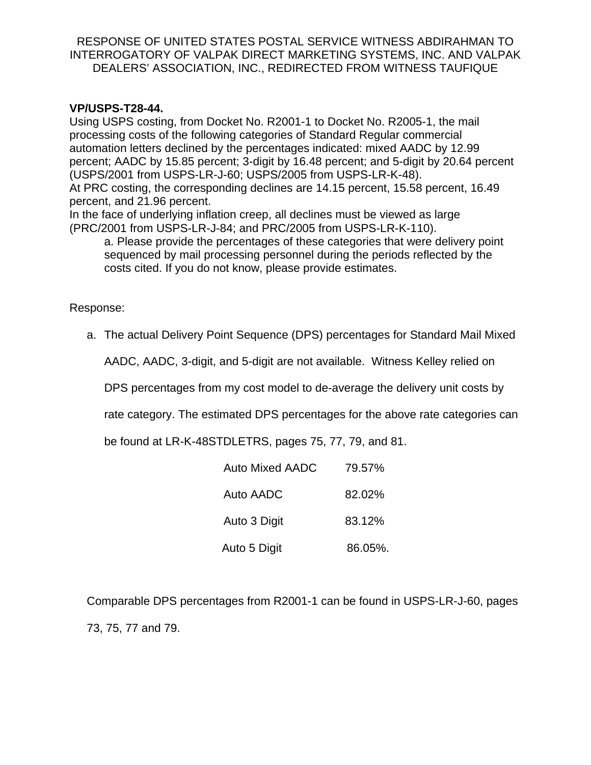## **VP/USPS-T28-44.**

Using USPS costing, from Docket No. R2001-1 to Docket No. R2005-1, the mail processing costs of the following categories of Standard Regular commercial automation letters declined by the percentages indicated: mixed AADC by 12.99 percent; AADC by 15.85 percent; 3-digit by 16.48 percent; and 5-digit by 20.64 percent (USPS/2001 from USPS-LR-J-60; USPS/2005 from USPS-LR-K-48). At PRC costing, the corresponding declines are 14.15 percent, 15.58 percent, 16.49 percent, and 21.96 percent.

In the face of underlying inflation creep, all declines must be viewed as large (PRC/2001 from USPS-LR-J-84; and PRC/2005 from USPS-LR-K-110).

a. Please provide the percentages of these categories that were delivery point sequenced by mail processing personnel during the periods reflected by the costs cited. If you do not know, please provide estimates.

Response:

a. The actual Delivery Point Sequence (DPS) percentages for Standard Mail Mixed

AADC, AADC, 3-digit, and 5-digit are not available. Witness Kelley relied on

DPS percentages from my cost model to de-average the delivery unit costs by

rate category. The estimated DPS percentages for the above rate categories can

be found at LR-K-48STDLETRS, pages 75, 77, 79, and 81.

| Auto Mixed AADC | 79.57%  |
|-----------------|---------|
| Auto AADC       | 82.02%  |
| Auto 3 Digit    | 83.12%  |
| Auto 5 Digit    | 86.05%. |

Comparable DPS percentages from R2001-1 can be found in USPS-LR-J-60, pages 73, 75, 77 and 79.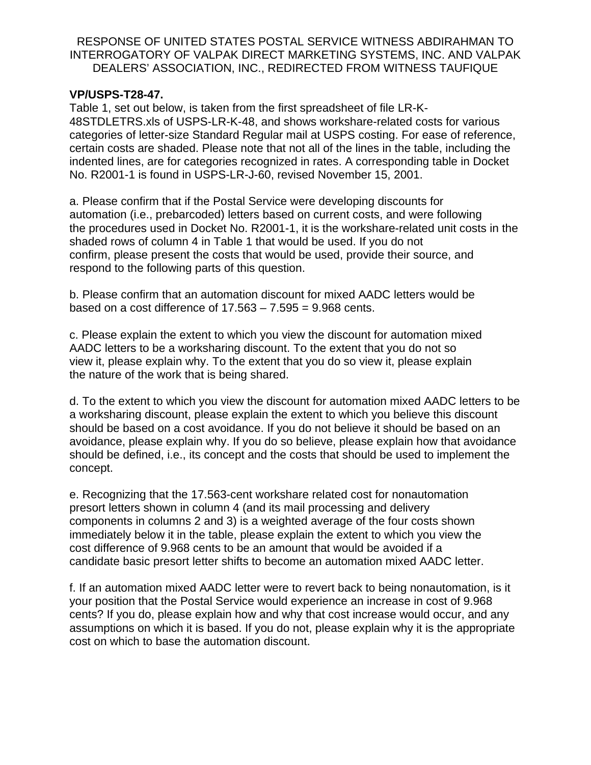## **VP/USPS-T28-47.**

Table 1, set out below, is taken from the first spreadsheet of file LR-K-48STDLETRS.xls of USPS-LR-K-48, and shows workshare-related costs for various categories of letter-size Standard Regular mail at USPS costing. For ease of reference, certain costs are shaded. Please note that not all of the lines in the table, including the indented lines, are for categories recognized in rates. A corresponding table in Docket No. R2001-1 is found in USPS-LR-J-60, revised November 15, 2001.

a. Please confirm that if the Postal Service were developing discounts for automation (i.e., prebarcoded) letters based on current costs, and were following the procedures used in Docket No. R2001-1, it is the workshare-related unit costs in the shaded rows of column 4 in Table 1 that would be used. If you do not confirm, please present the costs that would be used, provide their source, and respond to the following parts of this question.

b. Please confirm that an automation discount for mixed AADC letters would be based on a cost difference of  $17.563 - 7.595 = 9.968$  cents.

c. Please explain the extent to which you view the discount for automation mixed AADC letters to be a worksharing discount. To the extent that you do not so view it, please explain why. To the extent that you do so view it, please explain the nature of the work that is being shared.

d. To the extent to which you view the discount for automation mixed AADC letters to be a worksharing discount, please explain the extent to which you believe this discount should be based on a cost avoidance. If you do not believe it should be based on an avoidance, please explain why. If you do so believe, please explain how that avoidance should be defined, i.e., its concept and the costs that should be used to implement the concept.

e. Recognizing that the 17.563-cent workshare related cost for nonautomation presort letters shown in column 4 (and its mail processing and delivery components in columns 2 and 3) is a weighted average of the four costs shown immediately below it in the table, please explain the extent to which you view the cost difference of 9.968 cents to be an amount that would be avoided if a candidate basic presort letter shifts to become an automation mixed AADC letter.

f. If an automation mixed AADC letter were to revert back to being nonautomation, is it your position that the Postal Service would experience an increase in cost of 9.968 cents? If you do, please explain how and why that cost increase would occur, and any assumptions on which it is based. If you do not, please explain why it is the appropriate cost on which to base the automation discount.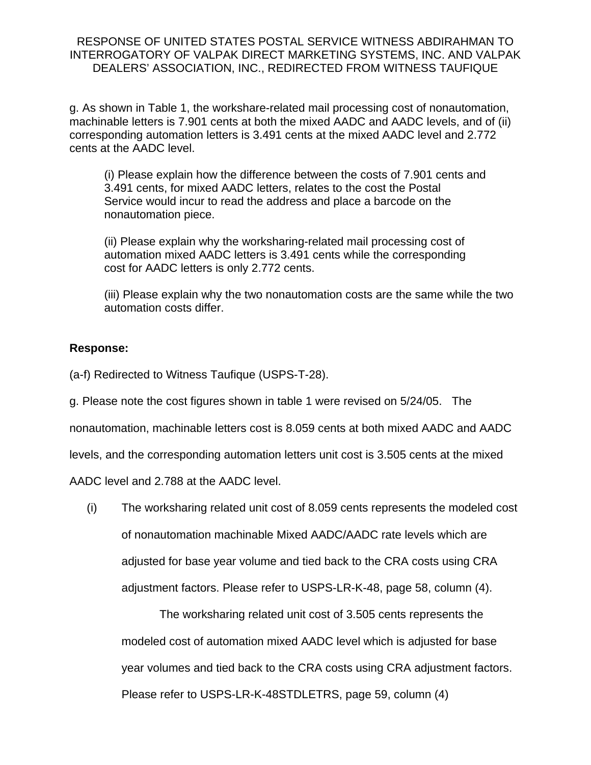g. As shown in Table 1, the workshare-related mail processing cost of nonautomation, machinable letters is 7.901 cents at both the mixed AADC and AADC levels, and of (ii) corresponding automation letters is 3.491 cents at the mixed AADC level and 2.772 cents at the AADC level.

(i) Please explain how the difference between the costs of 7.901 cents and 3.491 cents, for mixed AADC letters, relates to the cost the Postal Service would incur to read the address and place a barcode on the nonautomation piece.

(ii) Please explain why the worksharing-related mail processing cost of automation mixed AADC letters is 3.491 cents while the corresponding cost for AADC letters is only 2.772 cents.

(iii) Please explain why the two nonautomation costs are the same while the two automation costs differ.

#### **Response:**

(a-f) Redirected to Witness Taufique (USPS-T-28).

g. Please note the cost figures shown in table 1 were revised on 5/24/05. The

nonautomation, machinable letters cost is 8.059 cents at both mixed AADC and AADC

levels, and the corresponding automation letters unit cost is 3.505 cents at the mixed

AADC level and 2.788 at the AADC level.

(i) The worksharing related unit cost of 8.059 cents represents the modeled cost of nonautomation machinable Mixed AADC/AADC rate levels which are adjusted for base year volume and tied back to the CRA costs using CRA adjustment factors. Please refer to USPS-LR-K-48, page 58, column (4).

 The worksharing related unit cost of 3.505 cents represents the modeled cost of automation mixed AADC level which is adjusted for base year volumes and tied back to the CRA costs using CRA adjustment factors. Please refer to USPS-LR-K-48STDLETRS, page 59, column (4)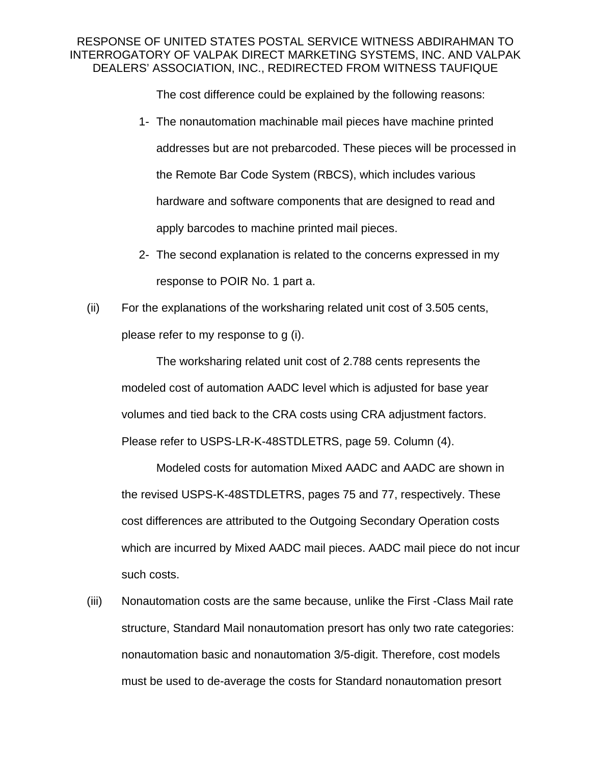The cost difference could be explained by the following reasons:

- 1- The nonautomation machinable mail pieces have machine printed addresses but are not prebarcoded. These pieces will be processed in the Remote Bar Code System (RBCS), which includes various hardware and software components that are designed to read and apply barcodes to machine printed mail pieces.
- 2- The second explanation is related to the concerns expressed in my response to POIR No. 1 part a.
- (ii) For the explanations of the worksharing related unit cost of 3.505 cents, please refer to my response to g (i).

The worksharing related unit cost of 2.788 cents represents the modeled cost of automation AADC level which is adjusted for base year volumes and tied back to the CRA costs using CRA adjustment factors. Please refer to USPS-LR-K-48STDLETRS, page 59. Column (4).

Modeled costs for automation Mixed AADC and AADC are shown in the revised USPS-K-48STDLETRS, pages 75 and 77, respectively. These cost differences are attributed to the Outgoing Secondary Operation costs which are incurred by Mixed AADC mail pieces. AADC mail piece do not incur such costs.

(iii) Nonautomation costs are the same because, unlike the First -Class Mail rate structure, Standard Mail nonautomation presort has only two rate categories: nonautomation basic and nonautomation 3/5-digit. Therefore, cost models must be used to de-average the costs for Standard nonautomation presort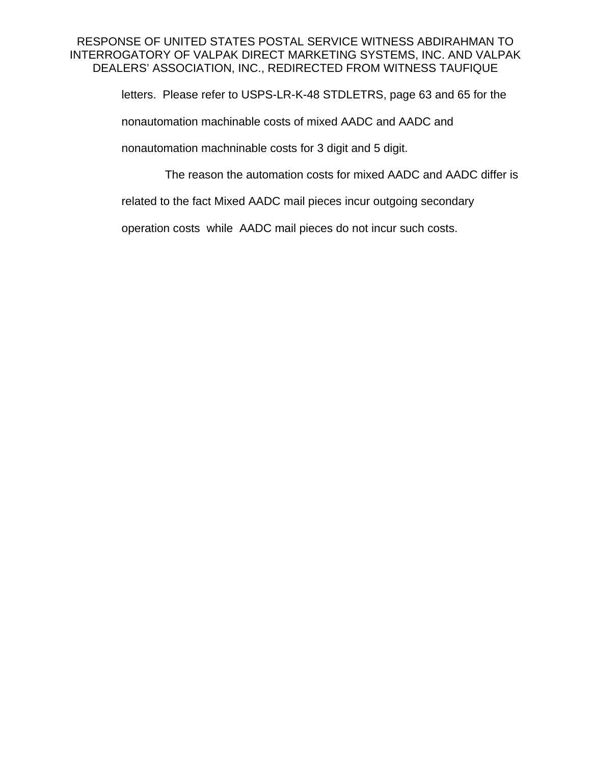letters. Please refer to USPS-LR-K-48 STDLETRS, page 63 and 65 for the

nonautomation machinable costs of mixed AADC and AADC and

nonautomation machninable costs for 3 digit and 5 digit.

The reason the automation costs for mixed AADC and AADC differ is

related to the fact Mixed AADC mail pieces incur outgoing secondary

operation costs while AADC mail pieces do not incur such costs.